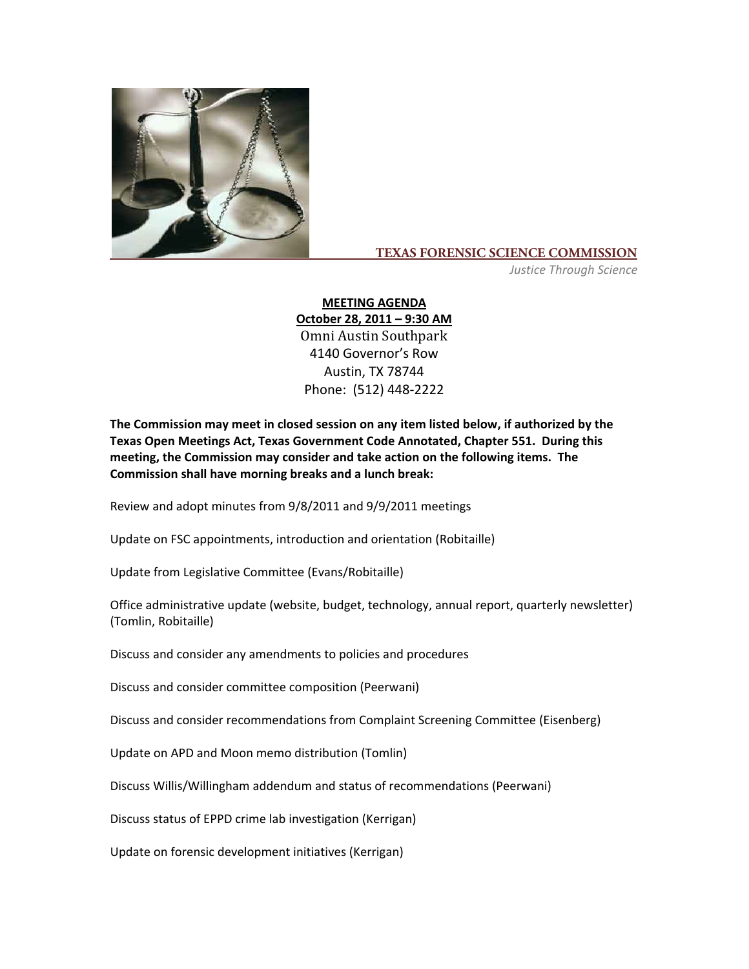

## **TEXAS FORENSIC SCIENCE COMMISSION**

*Justice Through Science*

## **MEETING AGENDA October 28, 2011 – 9:30 AM**

Omni Austin Southpark 4140 Governor's Row Austin, TX 78744 Phone: (512) 448‐2222

**The Commission may meet in closed session on any item listed below, if authorized by the Texas Open Meetings Act, Texas Government Code Annotated, Chapter 551. During this meeting, the Commission may consider and take action on the following items. The Commission shall have morning breaks and a lunch break:**

Review and adopt minutes from 9/8/2011 and 9/9/2011 meetings

Update on FSC appointments, introduction and orientation (Robitaille)

Update from Legislative Committee (Evans/Robitaille)

Office administrative update (website, budget, technology, annual report, quarterly newsletter) (Tomlin, Robitaille)

Discuss and consider any amendments to policies and procedures

Discuss and consider committee composition (Peerwani)

Discuss and consider recommendations from Complaint Screening Committee (Eisenberg)

Update on APD and Moon memo distribution (Tomlin)

Discuss Willis/Willingham addendum and status of recommendations (Peerwani)

Discuss status of EPPD crime lab investigation (Kerrigan)

Update on forensic development initiatives (Kerrigan)